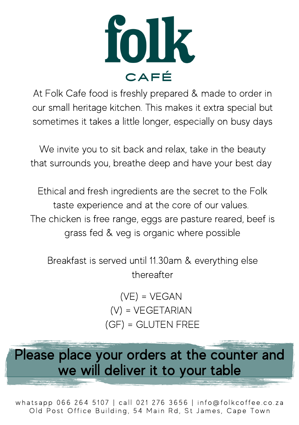

At Folk Cafe food is freshly prepared & made to order in our small heritage kitchen. This makes it extra special but sometimes it takes a little longer, especially on busy days

We invite you to sit back and relax, take in the beauty that surrounds you, breathe deep and have your best day

Ethical and fresh ingredients are the secret to the Folk taste experience and at the core of our values. The chicken is free range, eggs are pasture reared, beef is grass fed & veg is organic where possible

Breakfast is served until 11.30am & everything else thereafter

> (VE) = VEGAN (V) = VEGETARIAN (GF) = GLUTEN FREE

Please place your orders at the counter and we will deliver it to your table

whatsapp 066 264 5107 | call 021 276 3656 | info@folkcoffee.co.za Old Post Office Building, 54 Main Rd, St James, Cape Town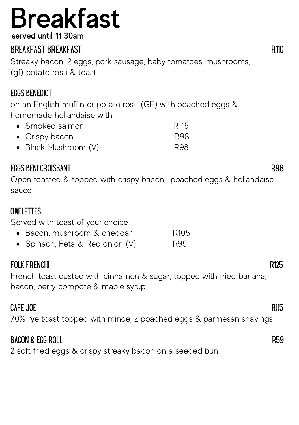# **Breakfast**

served until 11.30am

### BREAKFAST BREAKFAST **R110**

Streaky bacon, 2 eggs, pork sausage, baby tomatoes, mushrooms, (gf) potato rosti & toast

### EGGS BENEDICT

on an English muffin or potato rosti (GF) with poached eggs & homemade hollandaise with:

| • Smoked salmon        | R <sub>115</sub> |
|------------------------|------------------|
| • Crispy bacon         | R98              |
| • Black Mushroom $(V)$ | R98              |

### EGGS BENI CROISSANT R98

Open toasted & topped with crispy bacon, poached eggs & hollandaise sauce

### OMELETTES

Served with toast of your choice

- Bacon, mushroom & cheddar R105
- Spinach, Feta & Red onion (V) R95

### FOLK FRENCHI R125

French toast dusted with cinnamon & sugar, topped with fried banana, bacon, berry compote & maple syrup

### CAFE JOE R115

70% rye toast topped with mince, 2 poached eggs & parmesan shavings

### BACON & EGG ROLL R59

2 soft fried eggs & crispy streaky bacon on a seeded bun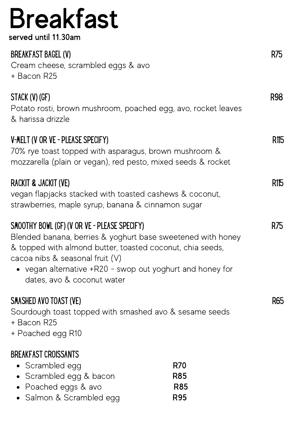### Breakfast served until 11.30am

### vegan alternative +R20 - swop out yoghurt and honey for • Scrambled egg R70 • Scrambled egg & bacon R85 BREAKFAST BAGEL (V) CHARGE AND THE SERVER SERVER SERVER SERVER SERVER SERVER SERVER SERVER SERVER SERVER SERVER Cream cheese, scrambled eggs & avo + Bacon R25 STACK (V) (GF) R98 Potato rosti, brown mushroom, poached egg, avo, rocket leaves & harissa drizzle V-MELT (V OR VE - PLEASE SPECIFY) R115 70% rye toast topped with asparagus, brown mushroom & mozzarella (plain or vegan), red pesto, mixed seeds & rocket RACKIT & JACKIT (VE) R115 vegan flapjacks stacked with toasted cashews & coconut, strawberries, maple syrup, banana & cinnamon sugar SMOOTHY BOWL (GF) (V OR VE - PLEASE SPECIFY) R75 Blended banana, berries & yoghurt base sweetened with honey & topped with almond butter, toasted coconut, chia seeds, cacoa nibs & seasonal fruit (V) dates, avo & coconut water SMASHED AVO TOAST (VE) EXAMPLE AND TO ASSESS THE SMASHED AVOIDAST (VE) Sourdough toast topped with smashed avo & sesame seeds + Bacon R25 + Poached egg R10 BREAKFAST CROISSANTS

- Poached eggs & avo **R85**
- Salmon & Scrambled egg R95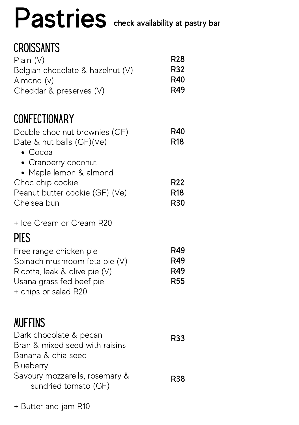### Pastries check availability at pastry bar

### **CROISSANTS**

| Plan(V)<br>Belgian chocolate & hazelnut (V)<br>Almond (v)                                                                                    | <b>R28</b><br>R32<br>R40<br>R49        |
|----------------------------------------------------------------------------------------------------------------------------------------------|----------------------------------------|
| Cheddar & preserves (V)                                                                                                                      |                                        |
| <b>CONFECTIONARY</b>                                                                                                                         |                                        |
| Double choc nut brownies (GF)<br>Date & nut balls (GF)(Ve)<br>$\bullet$ Cocoa<br>• Cranberry coconut                                         | R40<br><b>R18</b>                      |
| • Maple lemon & almond<br>Choc chip cookie                                                                                                   | R <sub>22</sub>                        |
| Peanut butter cookie (GF) (Ve)<br>Chelsea bun                                                                                                | <b>R18</b><br>R <sub>30</sub>          |
| + Ice Cream or Cream R20                                                                                                                     |                                        |
| <b>PIES</b>                                                                                                                                  |                                        |
| Free range chicken pie<br>Spinach mushroom feta pie (V)<br>Ricotta, leak & olive pie (V)<br>Usana grass fed beef pie<br>+ chips or salad R20 | R49<br>R49<br><b>R49</b><br><b>R55</b> |
| <b>MUFFINS</b>                                                                                                                               |                                        |
| Dark chocolate & pecan<br>Bran & mixed seed with raisins<br>Banana & chia seed<br><b>Blueberry</b>                                           | R33                                    |
| Savoury mozzarella, rosemary &<br>sundried tomato (GF)                                                                                       | <b>R38</b>                             |

+ Butter and jam R10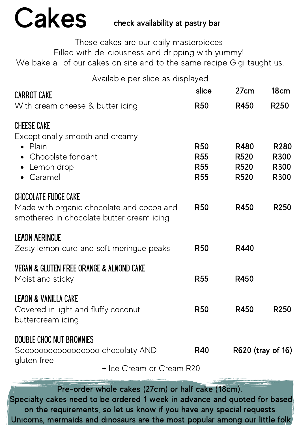# Cakes

### check availability at pastry bar

These cakes are our daily masterpieces

Filled with deliciousness and dripping with yummy!

We bake all of our cakes on site and to the same recipe Gigi taught us.

Available per slice as displayed

| <b>CARROT CAKE</b>                                                                                           |                                                                                        | slice                                                | 27cm                                                             | 18cm                                     |
|--------------------------------------------------------------------------------------------------------------|----------------------------------------------------------------------------------------|------------------------------------------------------|------------------------------------------------------------------|------------------------------------------|
| With cream cheese & butter icing                                                                             |                                                                                        | <b>R50</b>                                           | R450                                                             | R <sub>250</sub>                         |
| <b>CHEESE CAKE</b><br>Exceptionally smooth and creamy<br>Plain<br>Chocolate fondant<br>Lemon drop<br>Caramel |                                                                                        | <b>R50</b><br><b>R55</b><br><b>R55</b><br><b>R55</b> | R480<br>R <sub>520</sub><br>R <sub>520</sub><br>R <sub>520</sub> | R <sub>280</sub><br>R300<br>R300<br>R300 |
| <b>CHOCOLATE FUDGE CAKE</b>                                                                                  | Made with organic chocolate and cocoa and<br>smothered in chocolate butter cream icing | <b>R50</b>                                           | R450                                                             | R <sub>250</sub>                         |
| <b>LEMON MERINGUE</b>                                                                                        | Zesty lemon curd and soft meringue peaks                                               | <b>R50</b>                                           | R440                                                             |                                          |
| <b>VEGAN &amp; GLUTEN FREE ORANGE &amp; ALMOND CAKE</b><br>Moist and sticky                                  |                                                                                        | <b>R55</b>                                           | R450                                                             |                                          |
| <b>LEMON &amp; VANILLA CAKE</b><br>Covered in light and fluffy coconut<br>buttercream icing                  |                                                                                        | <b>R50</b>                                           | R450                                                             | R <sub>250</sub>                         |
| DOUBLE CHOC NUT BROWNIES<br>Soooooooooooooooo chocolaty AND<br>gluten free                                   | + Ice Cream or Cream R20                                                               | <b>R40</b>                                           | R620 (tray of 16)                                                |                                          |
|                                                                                                              |                                                                                        |                                                      |                                                                  |                                          |

Pre-order whole cakes (27cm) or half cake (18cm). Specialty cakes need to be ordered 1 week in advance and quoted for based on the requirements, so let us know if you have any special requests. Unicorns, mermaids and dinosaurs are the most popular among our little folk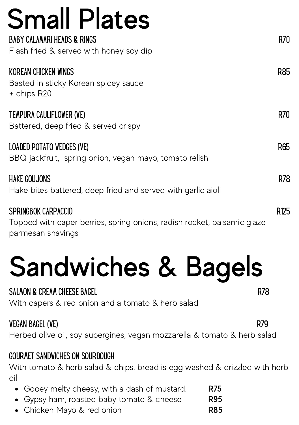| <b>Small Plates</b>                                                                            |      |
|------------------------------------------------------------------------------------------------|------|
| <b>BABY CALAMARI HEADS &amp; RINGS</b><br>Flash fried & served with honey soy dip              | R70  |
| KOREAN CHICKEN WINGS<br>Basted in sticky Korean spicey sauce<br>+ chips R20                    | R85  |
| TEMPURA CAULIFLOWER (VE)<br>Battered, deep fried & served crispy                               | R70  |
| LOADED POTATO WEDGES (VE)<br>BBQ jackfruit, spring onion, vegan mayo, tomato relish            | R65  |
| <b>HAKE GOUJONS</b><br>Hake bites battered, deep fried and served with garlic aioli            | R78  |
| SPRINGBOK CARPACCIO<br>Topped with caper berries, spring onions, radish rocket, balsamic glaze | R125 |

parmesan shavings

# Sandwiches & Bagels

### SALMON & CREAM CHEESE BAGEL RECORDS OF SALMON & CREAM CHEESE BAGEL

With capers & red onion and a tomato & herb salad

### VEGAN BAGEL (VE) R79

Herbed olive oil, soy aubergines, vegan mozzarella & tomato & herb salad

### GOURMET SANDWICHES ON SOURDOUGH

With tomato & herb salad & chips. bread is egg washed & drizzled with herb oil

- Gooey melty cheesy, with a dash of mustard. R75
- Gypsy ham, roasted baby tomato & cheese R95
- Chicken Mayo & red onion **R85**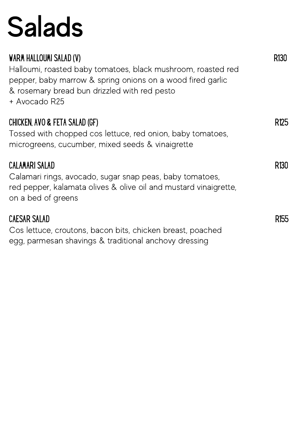# Salads

| WARM HALLOUMI SALAD (V)<br>Halloumi, roasted baby tomatoes, black mushroom, roasted red<br>pepper, baby marrow & spring onions on a wood fired garlic<br>& rosemary bread bun drizzled with red pesto<br>+ Avocado R25 | R130             |
|------------------------------------------------------------------------------------------------------------------------------------------------------------------------------------------------------------------------|------------------|
| CHICKEN, AVO & FETA SALAD (GF)<br>Tossed with chopped cos lettuce, red onion, baby tomatoes,<br>microgreens, cucumber, mixed seeds & vinaigrette                                                                       | R125             |
| <b>CALAMARI SALAD</b><br>Calamari rings, avocado, sugar snap peas, baby tomatoes,<br>red pepper, kalamata olives & olive oil and mustard vinaigrette,<br>on a bed of greens                                            | R130             |
| <b>CAESAR SALAD</b><br>Cos lettuce, croutons, bacon bits, chicken breast, poached<br>egg, parmesan shavings & traditional anchovy dressing                                                                             | R <sub>155</sub> |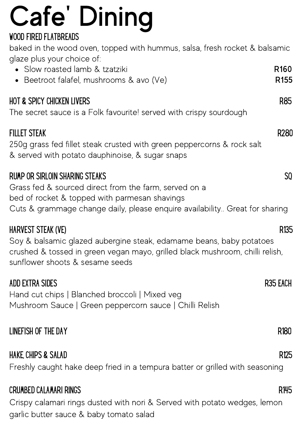# Cafe ' Dining

### WOOD FIRED FLATBREADS

baked in the wood oven, topped with hummus, salsa, fresh rocket & balsamic glaze plus your choice of:

| • Slow roasted lamb & tzatziki<br>· Beetroot falafel, mushrooms & avo (Ve)                                                                                                                                                     | R <sub>160</sub><br>R <sub>155</sub> |
|--------------------------------------------------------------------------------------------------------------------------------------------------------------------------------------------------------------------------------|--------------------------------------|
| <b>HOT &amp; SPICY CHICKEN LIVERS</b><br>The secret sauce is a Folk favourite! served with crispy sourdough                                                                                                                    | <b>R85</b>                           |
| <b>FILLET STEAK</b><br>250g grass fed fillet steak crusted with green peppercorns & rock salt<br>& served with potato dauphinoise, & sugar snaps                                                                               | R280                                 |
| <b>RUMP OR SIRLOIN SHARING STEAKS</b><br>Grass fed & sourced direct from the farm, served on a<br>bed of rocket & topped with parmesan shavings<br>Cuts & grammage change daily, please enquire availability Great for sharing | SQ.                                  |
| HARVEST STEAK (VE)<br>Soy & balsamic glazed aubergine steak, edamame beans, baby potatoes<br>crushed & tossed in green vegan mayo, grilled black mushroom, chilli relish,<br>sunflower shoots & sesame seeds                   | R <sub>135</sub>                     |
| ADD EXTRA SIDES<br>Hand cut chips   Blanched broccoli   Mixed veg<br>Mushroom Sauce   Green peppercorn sauce   Chilli Relish                                                                                                   | R35 EACH                             |
| LINEFISH OF THE DAY                                                                                                                                                                                                            | R <sub>180</sub>                     |
| HAKE, CHIPS & SALAD<br>Freshly caught hake deep fried in a tempura batter or grilled with seasoning                                                                                                                            | R <sub>125</sub>                     |
| <b>CRUMBED CALAMARI RINGS</b>                                                                                                                                                                                                  | R145                                 |

Crispy calamari rings dusted with nori & Served with potato wedges, lemon garlic butter sauce & baby tomato salad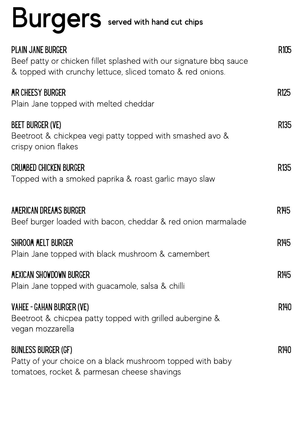# Burgers served with hand cut chips

| PLAIN JANE BURGER<br>Beef patty or chicken fillet splashed with our signature bbg sauce<br>& topped with crunchy lettuce, sliced tomato & red onions. | R105             |
|-------------------------------------------------------------------------------------------------------------------------------------------------------|------------------|
| MR CHEESY BURGER<br>Plain Jane topped with melted cheddar                                                                                             | R <sub>125</sub> |
| <b>BEET BURGER (VE)</b><br>Beetroot & chickpea vegi patty topped with smashed avo &<br>crispy onion flakes                                            | R <sub>135</sub> |
| <b>CRUMBED CHICKEN BURGER</b><br>Topped with a smoked paprika & roast garlic mayo slaw                                                                | R <sub>135</sub> |
| AMERICAN DREAMS BURGER<br>Beef burger loaded with bacon, cheddar & red onion marmalade                                                                | R <sub>145</sub> |
| SHROOM MELT BURGER<br>Plain Jane topped with black mushroom & camembert                                                                               | R <sub>145</sub> |
| MEXICAN SHOWDOWN BURGER<br>Plain Jane topped with guacamole, salsa & chilli                                                                           | R <sub>145</sub> |
| <b>VAHEE - GAHAN BURGER (VE)</b><br>Beetroot & chicpea patty topped with grilled aubergine &<br>vegan mozzarella                                      | R140             |
| <b>BUNLESS BURGER (GF)</b><br>Patty of your choice on a black mushroom topped with baby<br>tomatoes, rocket & parmesan cheese shavings                | R140             |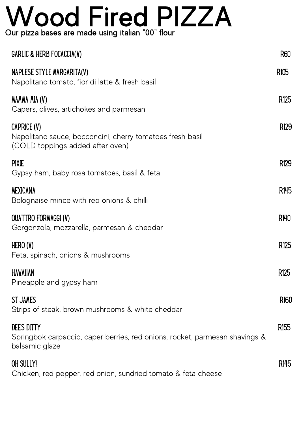### Wood Fired PIZZA Our pizza bases are made using italian "00" flour

| <b>GARLIC &amp; HERB FOCACCIA(V)</b>                                                                                | <b>R60</b>       |
|---------------------------------------------------------------------------------------------------------------------|------------------|
| NAPLESE STYLE MARGARITA(V)<br>Napolitano tomato, fior di latte & fresh basil                                        | R <sub>105</sub> |
| MAMMA MIA (V)<br>Capers, olives, artichokes and parmesan                                                            | R <sub>125</sub> |
| CAPRICE (V)<br>Napolitano sauce, bocconcini, cherry tomatoes fresh basil<br>(COLD toppings added after oven)        | R129             |
| <b>PIXIE</b><br>Gypsy ham, baby rosa tomatoes, basil & feta                                                         | R <sub>129</sub> |
| <b>MEXICANA</b><br>Bolognaise mince with red onions & chilli                                                        | R145             |
| <b>QUATTRO FORMAGGI (V)</b><br>Gorgonzola, mozzarella, parmesan & cheddar                                           | R140             |
| HERO (V)<br>Feta, spinach, onions & mushrooms                                                                       | R <sub>125</sub> |
| <b>HAWAIIAN</b><br>Pineapple and gypsy ham                                                                          | R <sub>125</sub> |
| <b>ST JAMES</b><br>Strips of steak, brown mushrooms & white cheddar                                                 | R <sub>160</sub> |
| <b>DEE'S DITTY</b><br>Springbok carpaccio, caper berries, red onions, rocket, parmesan shavings &<br>balsamic glaze | R <sub>155</sub> |
| OH SULLY!<br>Chicken, red pepper, red onion, sundried tomato & feta cheese                                          | R <sub>145</sub> |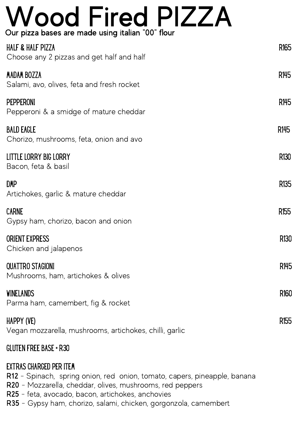### Wood Fired PIZZA Our pizza bases are made using italian "00" flour

| <b>HALF &amp; HALF PIZZA</b><br>Choose any 2 pizzas and get half and half | R <sub>165</sub> |
|---------------------------------------------------------------------------|------------------|
| <b>MADAM BOZZA</b><br>Salami, avo, olives, feta and fresh rocket          | R145             |
| PEPPERONI<br>Pepperoni & a smidge of mature cheddar                       | R145             |
| <b>BALD EAGLE</b><br>Chorizo, mushrooms, feta, onion and avo              | R145             |
| LITTLE LORRY BIG LORRY<br>Bacon, feta & basil                             | R <sub>130</sub> |
| DMP<br>Artichokes, garlic & mature cheddar                                | R <sub>135</sub> |
| <b>CARNE</b><br>Gypsy ham, chorizo, bacon and onion                       | R <sub>155</sub> |
| <b>ORIENT EXPRESS</b><br>Chicken and jalapenos                            | R <sub>130</sub> |
| <b>QUATTRO STAGIONI</b><br>Mushrooms, ham, artichokes & olives            | R145             |
| <b>WINELANDS</b><br>Parma ham, camembert, fig & rocket                    | R <sub>160</sub> |
| HAPPY (VE)<br>Vegan mozzarella, mushrooms, artichokes, chilli, garlic     | R <sub>155</sub> |

### GLUTEN FREE BASE + R30

### EXTRAS CHARGED PER ITEM

R12 - Spinach, spring onion, red onion, tomato, capers, pineapple, banana

- R20 Mozzarella, cheddar, olives, mushrooms, red peppers
- R25 feta, avocado, bacon, artichokes, anchovies
- R35 Gypsy ham, chorizo, salami, chicken, gorgonzola, camembert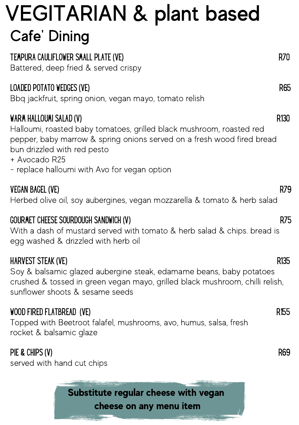### VEGITARIAN & plant based TEMPURA CAULIFLOWER SMALL PLATE (VE) EXAMPLE AND THE R70 Battered, deep fried & served crispy LOADED POTATO WEDGES (VE) R65 Bbq jackfruit, spring onion, vegan mayo, tomato relish WARM HALLOUMI SALAD (V) R130 Halloumi, roasted baby tomatoes, grilled black mushroom, roasted red pepper, baby marrow & spring onions served on a fresh wood fired bread bun drizzled with red pesto + Avocado R25 - replace halloumi with Avo for vegan option VEGAN BAGEL (VE) R79 Herbed olive oil, soy aubergines, vegan mozzarella & tomato & herb salad GOURMET CHEESE SOURDOUGH SANDWICH (V) GOUR SANDWICH (V) R75 With a dash of mustard served with tomato & herb salad & chips. bread is egg washed & drizzled with herb oil HARVEST STEAK (VE) R135 Soy & balsamic glazed aubergine steak, edamame beans, baby potatoes crushed & tossed in green vegan mayo, grilled black mushroom, chilli relish, sunflower shoots & sesame seeds WOOD FIRED FLATBREAD (VE) R155 Topped with Beetroot falafel, mushrooms, avo, humus, salsa, fresh rocket & balsamic glaze PIE & CHIPS (V) R69 Cafe' Dining

served with hand cut chips

Substitute regular cheese with vegan cheese on any menu item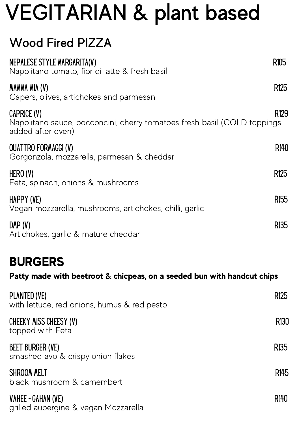## VEGITARIAN & plant based

### Wood Fired PIZZA

| NEPALESE STYLE MARGARITA(V)<br>Napolitano tomato, fior di latte & fresh basil                                | R105             |
|--------------------------------------------------------------------------------------------------------------|------------------|
| MAMMA MIA (V)<br>Capers, olives, artichokes and parmesan                                                     | R125             |
| CAPRICE (V)<br>Napolitano sauce, bocconcini, cherry tomatoes fresh basil (COLD toppings<br>added after oven) | R129             |
| <b>QUATTRO FORMAGGI (V)</b><br>Gorgonzola, mozzarella, parmesan & cheddar                                    | R140             |
| HERO (V)<br>Feta, spinach, onions & mushrooms                                                                | R <sub>125</sub> |
| HAPPY (VE)<br>Vegan mozzarella, mushrooms, artichokes, chilli, garlic                                        | R <sub>155</sub> |
| DMP(V)<br>Artichokes, garlic & mature cheddar                                                                | R <sub>135</sub> |

### BURGERS

### Patty made with beetroot & chicpeas, on a seeded bun with handcut chips

| PLANTED (VE)<br>with lettuce, red onions, humus & red pesto  | R <sub>125</sub> |
|--------------------------------------------------------------|------------------|
| CHEEKY MISS CHEESY (V)<br>topped with Feta                   | R <sub>130</sub> |
| <b>BEET BURGER (VE)</b><br>smashed avo & crispy onion flakes | R <sub>135</sub> |
| <b>SHROOM MELT</b><br>black mushroom & camembert             | R <sub>145</sub> |
| VAHEE - GAHAN (VE)<br>grilled aubergine & vegan Mozzarella   | R140             |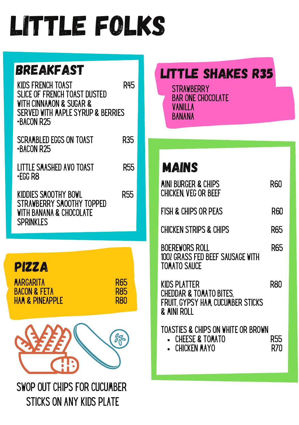## Little Folks

KIDS FRENCH TOAST R45 SLICE OF FRENCH TOAST DUSTED WITH CINNAMON & SUGAR & SERVED WITH MAPLE SYRUP & BERRIES +BACON R25

SCRAMBLED EGGS ON TOAST R35 +BACON R25

LITTLE SMASHED AVO TOAST R55 +EGG R8

KIDDIES SMOOTHY BOWL R55 STRAWBERRY SMOOTHY TOPPED WITH BANANA & CHOCOLATE **SPRINKLES** 



SWOP OUT CHIPS FOR CUCUMBER STICKS ON ANY KIDS PLATE

### BREAKFAST **EXECUTE SHAKES R35**

**STRAWBERRY** BAR ONE CHOCOLATE **VANILLA** BANANA

Mains

| MINI BURGER & CHIPS<br>CHICKEN VEG OR BEEF                                                             | RƘ         |
|--------------------------------------------------------------------------------------------------------|------------|
| FISH & CHIPS OR PEAS                                                                                   | R60        |
| <b>CHICKEN STRIPS &amp; CHIPS</b>                                                                      | R65        |
| BOEREWORS ROLL<br>100% GRASS FED BEEF SAUSAGE WITH<br><b>TOMATO SAUCE</b>                              | <b>R65</b> |
| KIDS PLATTER<br><b>CHEDDAR &amp; TOMATO BITES.</b><br>FRUIT, GYPSY HAM, CUCUMBER STICKS<br>& MINI ROLL | R8N        |
| TOASTIES & CHIPS ON WHITE OR BROWN<br><b>CHEESE &amp; TOMATO</b><br><b>CHICKEN MAYO</b>                | R55        |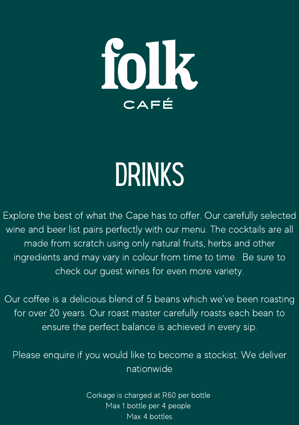

# **DRINKS**

Explore the best of what the Cape has to offer. Our carefully selected wine and beer list pairs perfectly with our menu. The cocktails are all made from scratch using only natural fruits, herbs and other ingredients and may vary in colour from time to time. Be sure to check our guest wines for even more variety.

Our coffee is a delicious blend of 5 beans which we've been roasting for over 20 years. Our roast master carefully roasts each bean to ensure the perfect balance is achieved in every sip.

Please enquire if you would like to become a stockist. We deliver nationwide

> Corkage is charged at R60 per bottle Max 1 bottle per 4 people Max 4 bottles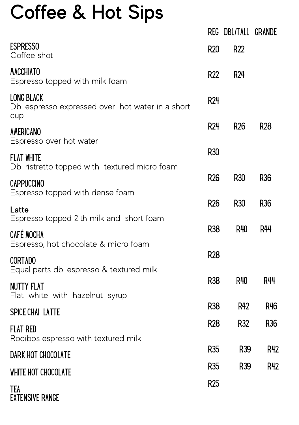### Coffee & Hot Sips

|                                                                              |                 | REG DBL/TALL GRANDE |                 |
|------------------------------------------------------------------------------|-----------------|---------------------|-----------------|
| <b>ESPRESSO</b><br>Coffee shot                                               | <b>R20</b>      | R22                 |                 |
| <b>MACCHIATO</b><br>Espresso topped with milk foam                           | R22             | <b>R24</b>          |                 |
| <b>LONG BLACK</b><br>Dbl espresso expressed over hot water in a short<br>cup | <b>R24</b>      |                     |                 |
| AMERICANO<br>Espresso over hot water                                         | R <sub>24</sub> | R <sub>26</sub>     | <b>R28</b>      |
| <b>FLAT WHITE</b><br>Dbl ristretto topped with textured micro foam           | <b>R30</b>      |                     |                 |
| <b>CAPPUCCINO</b><br>Espresso topped with dense foam                         | R <sub>26</sub> | R30                 | R36             |
| Latte<br>Espresso topped 2ith milk and short foam                            | R <sub>26</sub> | <b>R30</b>          | R <sub>36</sub> |
| <b>CAFÉ MOCHA</b><br>Espresso, hot chocolate & micro foam                    | R38             | R40                 | <b>R44</b>      |
| <b>CORTADO</b><br>Equal parts dbl espresso & textured milk                   | <b>R28</b>      |                     |                 |
| <b>NUTTY FLAT</b><br>Flat white with hazelnut syrup                          | R <sub>38</sub> | R40                 | <b>R44</b>      |
| <b>SPICE CHAI LATTE</b>                                                      | R38             | R42                 | R46             |
| <b>FLAT RED</b><br>Rooibos espresso with textured milk                       | <b>R28</b>      | R32                 | R <sub>36</sub> |
| DARK HOT CHOCOLATE                                                           | R <sub>35</sub> | R39                 | R42             |
| WHITE HOT CHOCOLATE                                                          | R <sub>35</sub> | R39                 | R42             |
| TEA<br><b>EXTENSIVE RANGE</b>                                                | <b>R25</b>      |                     |                 |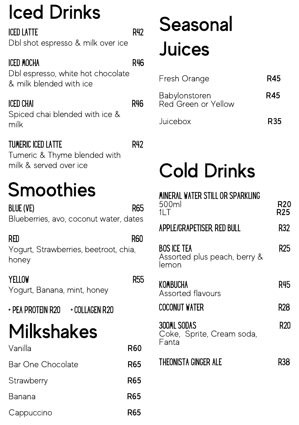## Iced Drinks

| ICED LATTE                        | R42 |
|-----------------------------------|-----|
| Dbl shot espresso & milk over ice |     |

### ICED MOCHA R46

Dbl espresso, white hot chocolate & milk blended with ice

### ICED CHAI R46

Spiced chai blended with ice & milk

### TUMERIC ICED LATTE R42

Tumeric & Thyme blended with milk & served over ice

## **Smoothies**

BLUE (VE) R65 Blueberries, avo, coconut water, dates

RED R60 Yogurt, Strawberries, beetroot, chia, honey

**YELLOW** R55 Yogurt, Banana, mint, honey

+ PEA PROTEIN R20 + COLLAGEN R20

## Milkshakes

| Vanilla                  | R60 |
|--------------------------|-----|
| <b>Bar One Chocolate</b> | R65 |
| Strawberry               | R65 |
| Banana                   | R65 |
| Cappuccino               | R65 |

## Seasonal Juices

| Fresh Orange                         | R45             |
|--------------------------------------|-----------------|
| Babylonstoren<br>Red Green or Yellow | R45             |
| Juicebox                             | R <sub>35</sub> |

## Cold Drinks

| MINERAL WATER STILL OR SPARKLING                            |            |
|-------------------------------------------------------------|------------|
| 500ml<br>11 T                                               | R20<br>R25 |
| APPLE/GRAPETISER, RED BULL                                  | R32        |
| <b>BOS ICE TEA</b><br>Assorted plus peach, berry &<br>lemon | R25        |
| KOMBUCHA<br>Assorted flavours                               | R45        |
| COCONUT WATER                                               | R28        |
| 300ML SODAS<br>Coke, Sprite, Cream soda,<br>Fanta           | R20        |
| THEONISTA GINGER ALE                                        | R38        |
|                                                             |            |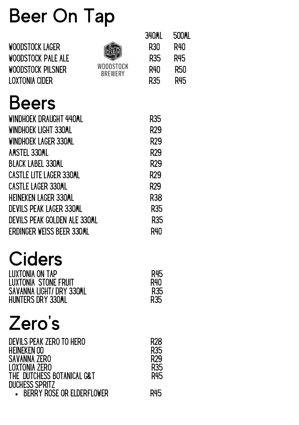## Beer On Tap

| WOODSTOCK LAGER<br>WOODSTOCK PALE ALE<br>WOODSTOCK PILSNER<br>LOXTONIA CIDER | WOODSTOCK<br><b>BREWERY</b> | 340ML<br>R30<br>R <sub>35</sub><br>R40<br>R35 | 500ML<br>R40<br>R45<br><b>R50</b><br>R45 |
|------------------------------------------------------------------------------|-----------------------------|-----------------------------------------------|------------------------------------------|
| Beers                                                                        |                             |                                               |                                          |
| WINDHOEK DRAUGHT 440ML                                                       |                             | R35                                           |                                          |
| WINDHOEK LIGHT 330ML                                                         |                             | R <sub>29</sub>                               |                                          |
| WINDHOEK LAGER 330ML                                                         |                             | R29                                           |                                          |
| AMSTEL 330ML                                                                 |                             | R <sub>29</sub>                               |                                          |
| BLACK LABEL 330ML                                                            |                             | R29                                           |                                          |
| <b>CASTLE LITE LAGER 330ML</b>                                               |                             | R29                                           |                                          |
| CASTLE LAGER 330ML                                                           |                             | R <sub>29</sub>                               |                                          |
| HEINEKEN LAGER 330ML                                                         |                             | R38                                           |                                          |
| DEVILS PEAK LAGER 330ML                                                      |                             | R35                                           |                                          |
| DEVILS PEAK GOLDEN ALE 330ML                                                 |                             | R35                                           |                                          |
| ERDINGER WEISS BEER 330ML                                                    |                             | R40                                           |                                          |

### **Ciders**

| LUXTONIA ON TAP          | R45 |
|--------------------------|-----|
| LUXTONIA STONE FRUIT     | R40 |
| SAVANNA LIGHT/ DRY 330ML | R35 |
| HUNTERS DRY 330ML        | R35 |

### Zero 's

| DEVILS PEAK ZERO TO HERO<br>HEINEKEN OO<br><b>SAVANNA ZERO</b><br><b>LOXTONIA ZERO</b><br>THE DUTCHESS BOTANICAL G&T | R28<br>R35<br>R <sub>29</sub><br>R35<br>R45 |
|----------------------------------------------------------------------------------------------------------------------|---------------------------------------------|
| <b>DUCHESS SPRITZ</b>                                                                                                |                                             |
| <b>BERRY ROSE OR ELDERFLOWER</b>                                                                                     | R45                                         |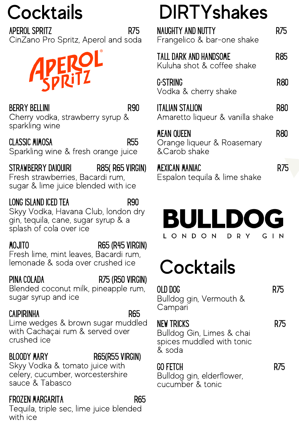APEROL SPRITZ R75 CinZano Pro Spritz, Aperol and soda

**PEROL**<br>SPRITZ

BERRY BELLINI R90 Cherry vodka, strawberry syrup & sparkling wine

CLASSIC MIMOSA R55 Sparkling wine & fresh orange juice

STRAWBERRY DAIQUIRI R85( R65 VIRGIN) Fresh strawberries, Bacardi rum, sugar & lime juice blended with ice

### LONG ISLAND ICED TEA R90

Skyy Vodka, Havana Club, london dry gin, tequila, cane, sugar syrup & a splash of cola over ice

MOJITO R65 (R45 VIRGIN)

Fresh lime, mint leaves, Bacardi rum, lemonade & soda over crushed ice

### PINA COLADA R75 (R50 VIRGIN)

Blended coconut milk, pineapple rum, sugar syrup and ice

### CAIPIRINHA R65

Lime wedges & brown sugar muddled with Cachaçai rum & served over crushed ice

### BLOODY MARY R65(R55 VIRGIN)

Skyy Vodka & tomato juice with celery, cucumber, worcestershire sauce & Tabasco

### FROZEN MARGARITA R65

Tequila, triple sec, lime juice blended with ice

## Cocktails DIRTYshakes

| NAUGHTY AND NUTTY<br>Frangelico & bar-one shake                  | R/5 |
|------------------------------------------------------------------|-----|
| TALL DARK AND HANDSOME<br>Kuluha shot & coffee shake             | R85 |
| G-STRING<br>Vodka & cherry shake                                 | R80 |
| ITALIAN STALION<br>Amaretto liqueur & vanilla shake              | R80 |
| <b>MEAN QUEEN</b><br>Orange liqueur & Roasemary<br>& Carob shake | R80 |
| MEXICAN MANIAC<br>Espalon tequila & lime shake                   |     |



## **Cocktails**

Bulldog gin, Vermouth & **Campari** 

OLD DOG R75

NEW TRICKS R75 Bulldog Gin, Limes & chai spices muddled with tonic & soda

GO FETCH R75 Bulldog gin, elderflower, cucumber & tonic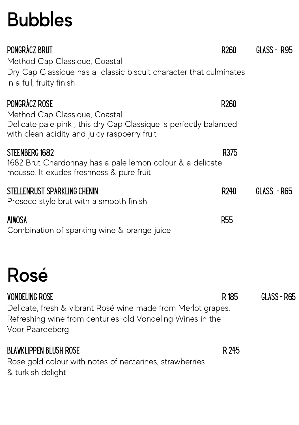## Bubbles

| PONGRÀCZ BRUT<br>Method Cap Classique, Coastal<br>Dry Cap Classique has a classic biscuit character that culminates<br>in a full, fruity finish                       | R <sub>260</sub> | GLASS - R95 |
|-----------------------------------------------------------------------------------------------------------------------------------------------------------------------|------------------|-------------|
| PONGRÀCZ ROSE<br>Method Cap Classique, Coastal<br>Delicate pale pink, this dry Cap Classique is perfectly balanced<br>with clean acidity and juicy raspberry fruit    | R <sub>260</sub> |             |
| STEENBERG 1682<br>1682 Brut Chardonnay has a pale lemon colour & a delicate<br>mousse. It exudes freshness & pure fruit                                               | R375             |             |
| STELLENRUST SPARKLING CHENIN<br>Proseco style brut with a smooth finish                                                                                               | R240             | GLASS - R65 |
| <b>MIMOSA</b><br>Combination of sparking wine & orange juice                                                                                                          | <b>R55</b>       |             |
| Rosé                                                                                                                                                                  |                  |             |
| <b>VONDELING ROSE</b><br>Delicate, fresh & vibrant Rosé wine made from Merlot grapes.<br>Refreshing wine from centuries-old Vondeling Wines in the<br>Voor Paardeberg | R <sub>185</sub> | GLASS - R65 |
| <b>BLAWKLIPPEN BLUSH ROSE</b><br>Rose gold colour with notes of nectarines, strawberries<br>& turkish delight                                                         | R 245            |             |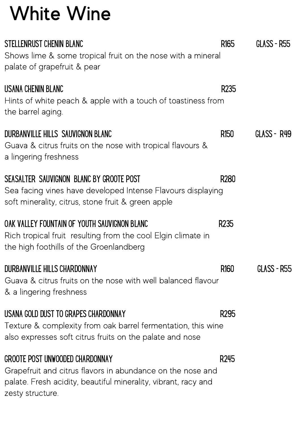### White Wine

| STELLENRUST CHENIN BLANC<br>Shows lime & some tropical fruit on the nose with a mineral<br>palate of grapefruit & pear                                                              | R <sub>165</sub> | GLASS - R55 |
|-------------------------------------------------------------------------------------------------------------------------------------------------------------------------------------|------------------|-------------|
| USANA CHENIN BLANC<br>Hints of white peach & apple with a touch of toastiness from<br>the barrel aging.                                                                             | R <sub>235</sub> |             |
| DURBANVILLE HILLS SAUVIGNON BLANC<br>Guava & citrus fruits on the nose with tropical flavours &<br>a lingering freshness                                                            | R <sub>150</sub> | GLASS - R49 |
| SEASALTER SAUVIGNON BLANC BY GROOTE POST<br>Sea facing vines have developed Intense Flavours displaying<br>soft minerality, citrus, stone fruit & green apple                       | R <sub>280</sub> |             |
| OAK VALLEY FOUNTAIN OF YOUTH SAUVIGNON BLANC<br>Rich tropical fruit resulting from the cool Elgin climate in<br>the high foothills of the Groenlandberg                             | R <sub>235</sub> |             |
| DURBANVILLE HILLS CHARDONNAY<br>Guava & citrus fruits on the nose with well balanced flavour<br>& a lingering freshness                                                             | R <sub>160</sub> | GLASS - R55 |
| USANA GOLD DUST TO GRAPES CHARDONNAY<br>Texture & complexity from oak barrel fermentation, this wine<br>also expresses soft citrus fruits on the palate and nose                    | R295             |             |
| GROOTE POST UNWOODED CHARDONNAY<br>Grapefruit and citrus flavors in abundance on the nose and<br>palate. Fresh acidity, beautiful minerality, vibrant, racy and<br>zesty structure. | R <sub>245</sub> |             |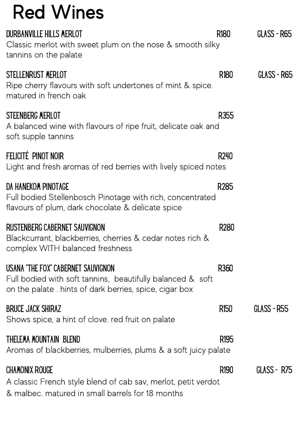### Red Wines

| DURBANVILLE HILLS MERLOT<br>Classic merlot with sweet plum on the nose & smooth silky<br>tannins on the palate                                              | R <sub>180</sub> | GLASS - R65 |
|-------------------------------------------------------------------------------------------------------------------------------------------------------------|------------------|-------------|
| STELLENRUST MERLOT<br>Ripe cherry flavours with soft undertones of mint & spice.<br>matured in french oak                                                   | R <sub>180</sub> | GLASS - R65 |
| STEENBERG MERLOT<br>A balanced wine with flavours of ripe fruit, delicate oak and<br>soft supple tannins                                                    | R355             |             |
| Felicité pinot noir<br>Light and fresh aromas of red berries with lively spiced notes                                                                       | R240             |             |
| DA HANEKOM PINOTAGE<br>Full bodied Stellenbosch Pinotage with rich, concentrated<br>flavours of plum, dark chocolate & delicate spice                       | R285             |             |
| RUSTENBERG CABERNET SAUVIGNON<br>Blackcurrant, blackberries, cherries & cedar notes rich &<br>complex WITH balanced freshness                               | R280             |             |
| USANA "THE FOX" CABERNET SAUVIGNON<br>Full bodied with soft tannins, beautifully balanced & soft<br>on the palate . hints of dark berries, spice, cigar box | R360             |             |
| BRUCE JACK SHIRAZ<br>Shows spice, a hint of clove. red fruit on palate                                                                                      | R <sub>150</sub> | GLASS - R55 |
| THELEMA MOUNTAIN BLEND<br>Aromas of blackberries, mulberries, plums & a soft juicy palate                                                                   | R <sub>195</sub> |             |
| CHAMONIX ROUGE<br>A classic French style blend of cab sav, merlot, petit verdot<br>& malbec. matured in small barrels for 18 months                         | R <sub>190</sub> | GLASS - R75 |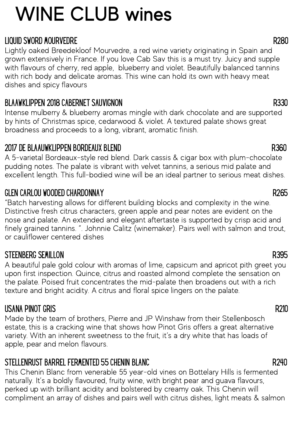## WINE CLUB wines

### LIQUID SWORD MOURVEDRE R280

Lightly oaked Breedekloof Mourvedre, a red wine variety originating in Spain and grown extensively in France. If you love Cab Sav this is a must try. Juicy and supple with flavours of cherry, red apple, blueberry and violet. Beautifully balanced tannins with rich body and delicate aromas. This wine can hold its own with heavy meat dishes and spicy flavours

### BLAAWKLIPPEN 2018 CABERNET SAUVIGNON REGENERATION OF SAULT AND RESISTING RESISTING REGENERATION REGENERATION R

Intense mulberry & blueberry aromas mingle with dark chocolate and are supported by hints of Christmas spice, cedarwood & violet. A textured palate shows great broadness and proceeds to a long, vibrant, aromatic finish.

### 2017 DE BLAAUWKLIPPEN BORDEAUX BLEND R360

A 5-varietal Bordeaux-style red blend. Dark cassis & cigar box with plum-chocolate pudding notes. The palate is vibrant with velvet tannins, a serious mid palate and excellent length. This full-bodied wine will be an ideal partner to serious meat dishes.

### GLEN CARLOU WOODED CHARDONNAY RELEASED FOR STRUCK AND RELEASED FOR STRUCK AND RELEASED FOR STRUCK AND RELEASED

"Batch harvesting allows for different building blocks and complexity in the wine. Distinctive fresh citrus characters, green apple and pear notes are evident on the nose and palate. An extended and elegant aftertaste is supported by crisp acid and finely grained tannins. ". Johnnie Calitz (winemaker). Pairs well with salmon and trout, or cauliflower centered dishes

### STEENBERG SEMILLON R395

A beautiful pale gold colour with aromas of lime, capsicum and apricot pith greet you upon first inspection. Quince, citrus and roasted almond complete the sensation on the palate. Poised fruit concentrates the mid-palate then broadens out with a rich texture and bright acidity. A citrus and floral spice lingers on the palate.

### USANA PINOT GRIS R210

Made by the team of brothers, Pierre and JP Winshaw from their Stellenbosch estate, this is a cracking wine that shows how Pinot Gris offers a great alternative variety. With an inherent sweetness to the fruit, it's a dry white that has loads of apple, pear and melon flavours.

### STELLENRUST BARREL FERMENTED 55 CHENIN BLANC RESOLUTION AND RESOLUTION RANGER AND RESOLUTION RANGER.

This Chenin Blanc from venerable 55 year-old vines on Bottelary Hills is fermented naturally. It's a boldly flavoured, fruity wine, with bright pear and guava flavours, perked up with brilliant acidity and bolstered by creamy oak. This Chenin will compliment an array of dishes and pairs well with citrus dishes, light meats & salmon